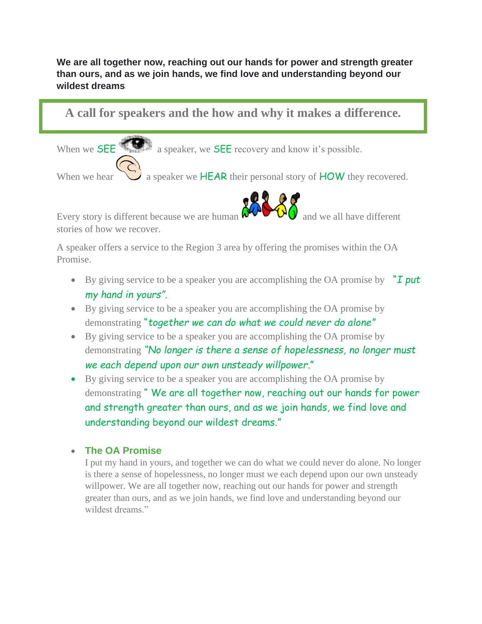## **We are all together now, reaching out our hands for power and strength greater than ours, and as we join hands, we find love and understanding beyond our wildest dreams**

**A call for speakers and the how and why it makes a difference.**

When we **SEE All Separation** a speaker, we **SEE** recovery and know it's possible.

When we hear  $\sum_{n=1}^{\infty}$  a speaker we **HEAR** their personal story of **HOW** they recovered.



Every story is different because we are human  $\frac{1}{2}$  and we all have different stories of how we recover.

A speaker offers a service to the Region 3 area by offering the promises within the OA Promise.

- By giving service to be a speaker you are accomplishing the OA promise by "*I put my hand in yours".*
- By giving service to be a speaker you are accomplishing the OA promise by demonstrating "*together we can do what we could never do alone"*
- By giving service to be a speaker you are accomplishing the OA promise by demonstrating *"No longer is there a sense of hopelessness, no longer must we each depend upon our own unsteady willpower*."
- By giving service to be a speaker you are accomplishing the OA promise by demonstrating " We are all together now, reaching out our hands for power and strength greater than ours, and as we join hands, we find love and understanding beyond our wildest dreams."

## • **The OA Promise**

I put my hand in yours, and together we can do what we could never do alone. No longer is there a sense of hopelessness, no longer must we each depend upon our own unsteady willpower. We are all together now, reaching out our hands for power and strength greater than ours, and as we join hands, we find love and understanding beyond our wildest dreams."